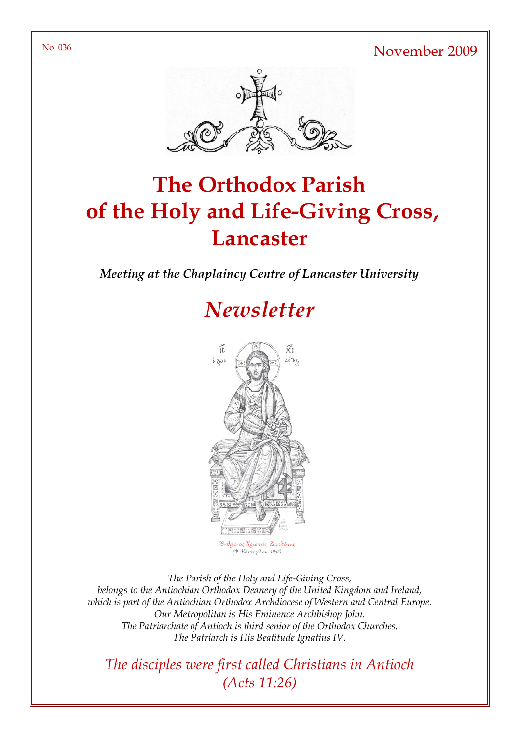No. 036 November 2009



# The Orthodox Parish of the Holy and Life-Giving Cross, **Lancaster**

Meeting at the Chaplaincy Centre of Lancaster University

# **Newsletter**



The Parish of the Holy and Life-Giving Cross, belongs to the Antiochian Orthodox Deanery of the United Kingdom and Ireland, which is part of the Antiochian Orthodox Archdiocese of Western and Central Europe. Our Metropolitan is His Eminence Archbishop John. The Patriarchate of Antioch is third senior of the Orthodox Churches. The Patriarch is His Beatitude Ignatius IV.

The disciples were first called Christians in Antioch (Acts 11:26)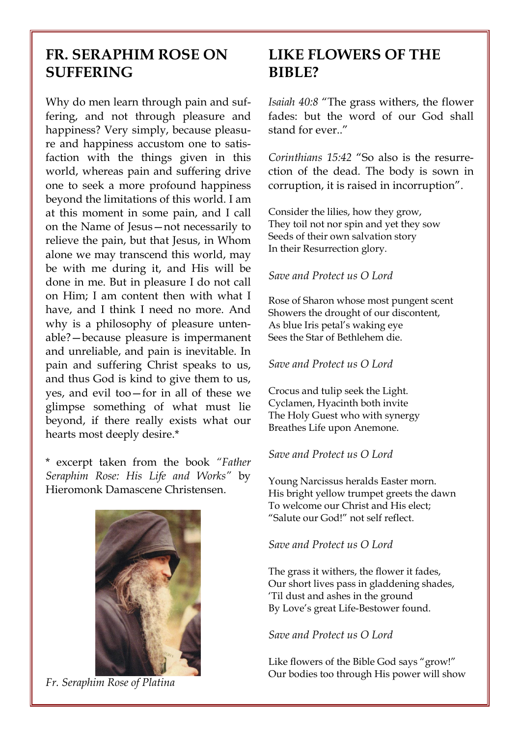## FR. SERAPHIM ROSE ON **SUFFERING**

Why do men learn through pain and suffering, and not through pleasure and happiness? Very simply, because pleasure and happiness accustom one to satisfaction with the things given in this world, whereas pain and suffering drive one to seek a more profound happiness beyond the limitations of this world. I am at this moment in some pain, and I call on the Name of Jesus—not necessarily to relieve the pain, but that Jesus, in Whom alone we may transcend this world, may be with me during it, and His will be done in me. But in pleasure I do not call on Him; I am content then with what I have, and I think I need no more. And why is a philosophy of pleasure untenable?—because pleasure is impermanent and unreliable, and pain is inevitable. In pain and suffering Christ speaks to us, and thus God is kind to give them to us, yes, and evil too—for in all of these we glimpse something of what must lie beyond, if there really exists what our hearts most deeply desire.\*

\* excerpt taken from the book "Father Seraphim Rose: His Life and Works" by Hieromonk Damascene Christensen.



Fr. Seraphim Rose of Platina

# LIKE FLOWERS OF THE BIBLE?

Isaiah 40:8 "The grass withers, the flower fades: but the word of our God shall stand for ever."

Corinthians 15:42 "So also is the resurrection of the dead. The body is sown in corruption, it is raised in incorruption".

Consider the lilies, how they grow, They toil not nor spin and yet they sow Seeds of their own salvation story In their Resurrection glory.

#### Save and Protect us O Lord

Rose of Sharon whose most pungent scent Showers the drought of our discontent, As blue Iris petal's waking eye Sees the Star of Bethlehem die.

#### Save and Protect us O Lord

Crocus and tulip seek the Light. Cyclamen, Hyacinth both invite The Holy Guest who with synergy Breathes Life upon Anemone.

#### Save and Protect us O Lord

Young Narcissus heralds Easter morn. His bright yellow trumpet greets the dawn To welcome our Christ and His elect; "Salute our God!" not self reflect.

#### Save and Protect us O Lord

The grass it withers, the flower it fades, Our short lives pass in gladdening shades, 'Til dust and ashes in the ground By Love's great Life-Bestower found.

#### Save and Protect us O Lord

Like flowers of the Bible God says "grow!" Our bodies too through His power will show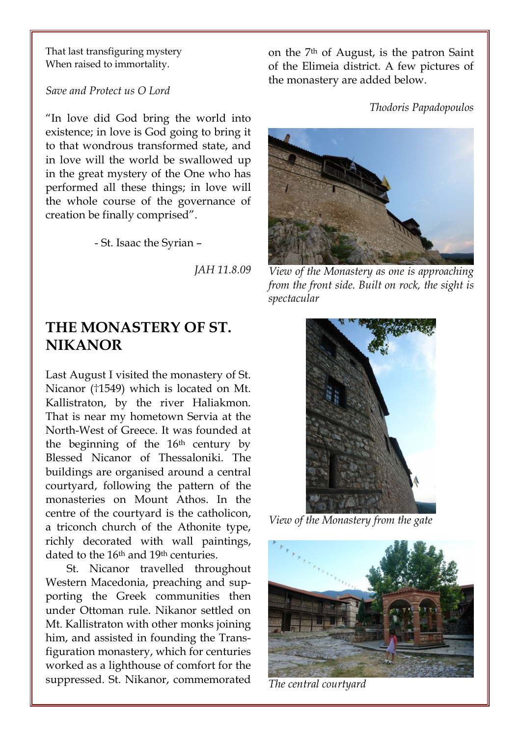That last transfiguring mystery When raised to immortality.

Save and Protect us O Lord

"In love did God bring the world into existence; in love is God going to bring it to that wondrous transformed state, and in love will the world be swallowed up in the great mystery of the One who has performed all these things; in love will the whole course of the governance of creation be finally comprised".

- St. Isaac the Syrian –

JAH 11.8.09

### THE MONASTERY OF ST. NIKANOR

Last August I visited the monastery of St. Nicanor (†1549) which is located on Mt. Kallistraton, by the river Haliakmon. That is near my hometown Servia at the North-West of Greece. It was founded at the beginning of the 16th century by Blessed Nicanor of Thessaloniki. The buildings are organised around a central courtyard, following the pattern of the monasteries on Mount Athos. In the centre of the courtyard is the catholicon, a triconch church of the Athonite type, richly decorated with wall paintings, dated to the 16th and 19th centuries.

St. Nicanor travelled throughout Western Macedonia, preaching and supporting the Greek communities then under Ottoman rule. Nikanor settled on Mt. Kallistraton with other monks joining him, and assisted in founding the Transfiguration monastery, which for centuries worked as a lighthouse of comfort for the suppressed. St. Nikanor, commemorated on the 7th of August, is the patron Saint of the Elimeia district. A few pictures of the monastery are added below.

Thodoris Papadopoulos



View of the Monastery as one is approaching from the front side. Built on rock, the sight is spectacular



View of the Monastery from the gate



The central courtyard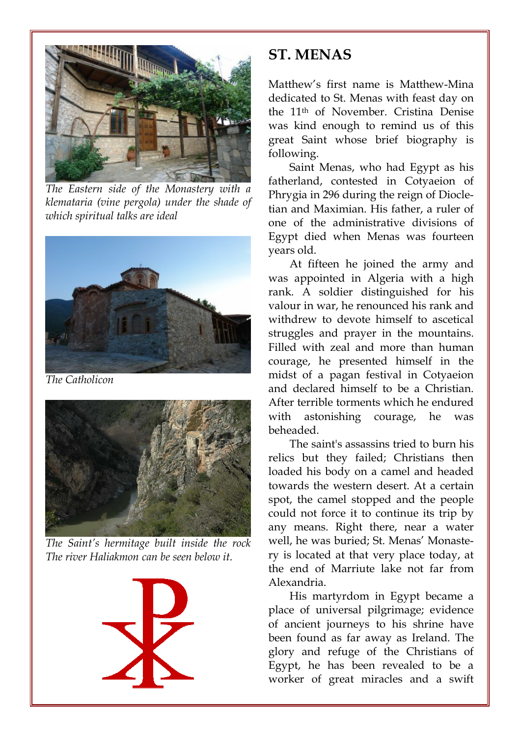

The Eastern side of the Monastery with a klemataria (vine pergola) under the shade of which spiritual talks are ideal



The Catholicon



The Saint's hermitage built inside the rock The river Haliakmon can be seen below it.



### ST. MENAS

Matthew's first name is Matthew-Mina dedicated to St. Menas with feast day on the 11th of November. Cristina Denise was kind enough to remind us of this great Saint whose brief biography is following.

Saint Menas, who had Egypt as his fatherland, contested in Cotyaeion of Phrygia in 296 during the reign of Diocletian and Maximian. His father, a ruler of one of the administrative divisions of Egypt died when Menas was fourteen years old.

At fifteen he joined the army and was appointed in Algeria with a high rank. A soldier distinguished for his valour in war, he renounced his rank and withdrew to devote himself to ascetical struggles and prayer in the mountains. Filled with zeal and more than human courage, he presented himself in the midst of a pagan festival in Cotyaeion and declared himself to be a Christian. After terrible torments which he endured with astonishing courage, he was beheaded.

The saint's assassins tried to burn his relics but they failed; Christians then loaded his body on a camel and headed towards the western desert. At a certain spot, the camel stopped and the people could not force it to continue its trip by any means. Right there, near a water well, he was buried; St. Menas' Monastery is located at that very place today, at the end of Marriute lake not far from Alexandria.

His martyrdom in Egypt became a place of universal pilgrimage; evidence of ancient journeys to his shrine have been found as far away as Ireland. The glory and refuge of the Christians of Egypt, he has been revealed to be a worker of great miracles and a swift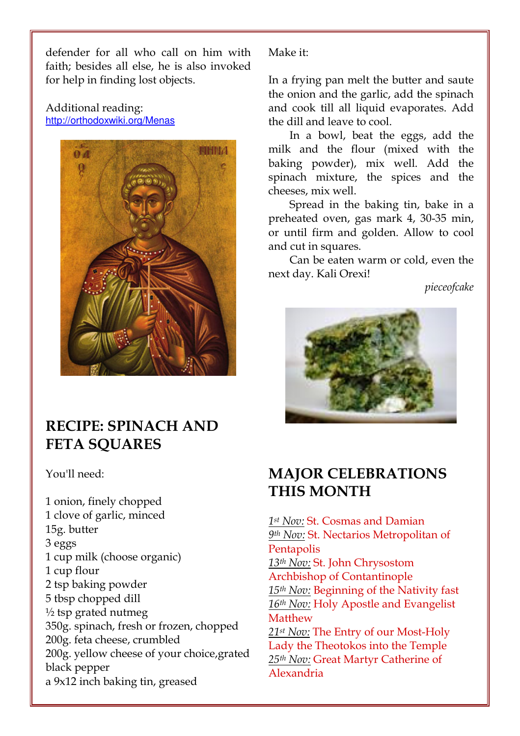defender for all who call on him with faith; besides all else, he is also invoked for help in finding lost objects.

Additional reading: http://orthodoxwiki.org/Menas



## RECIPE: SPINACH AND **FETA SOUARES**

You'll need:

1 onion, finely chopped 1 clove of garlic, minced 15g. butter 3 eggs 1 cup milk (choose organic) 1 cup flour 2 tsp baking powder 5 tbsp chopped dill  $\frac{1}{2}$  tsp grated nutmeg 350g. spinach, fresh or frozen, chopped 200g. feta cheese, crumbled 200g. yellow cheese of your choice,grated black pepper a 9x12 inch baking tin, greased

Make it:

In a frying pan melt the butter and saute the onion and the garlic, add the spinach and cook till all liquid evaporates. Add the dill and leave to cool.

In a bowl, beat the eggs, add the milk and the flour (mixed with the baking powder), mix well. Add the spinach mixture, the spices and the cheeses, mix well.

Spread in the baking tin, bake in a preheated oven, gas mark 4, 30-35 min, or until firm and golden. Allow to cool and cut in squares.

Can be eaten warm or cold, even the next day. Kali Orexi!

pieceofcake



## MAJOR CELEBRATIONS THIS MONTH

1st Nov: St. Cosmas and Damian 9th Nov: St. Nectarios Metropolitan of **Pentapolis** 13th Nov: St. John Chrysostom Archbishop of Contantinople 15th Nov: Beginning of the Nativity fast 16th Nov: Holy Apostle and Evangelist **Matthew** 21<sup>st</sup> Nov: The Entry of our Most-Holy Lady the Theotokos into the Temple 25th Nov: Great Martyr Catherine of Alexandria